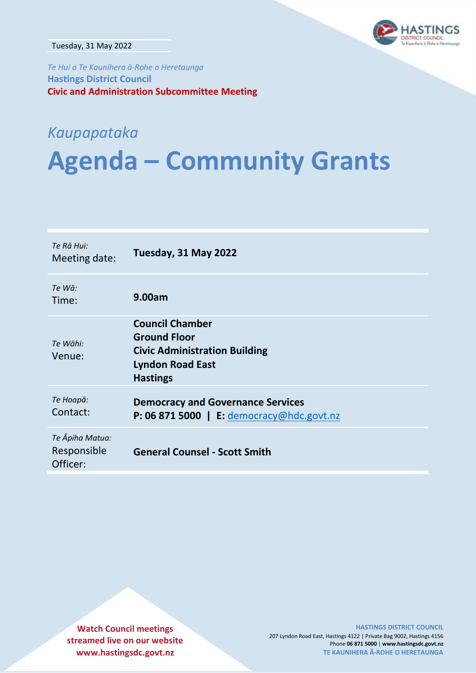

Tuesday, 31 May 2022

*Te Hui o Te Kaunihera ā-Rohe o Heretaunga* **Hastings District Council Civic and Administration Subcommittee Meeting**

# *Kaupapataka*

# **Agenda – Community Grants**

| Te Rā Hui:<br>Meeting date:                | Tuesday, 31 May 2022                                                                                                                |
|--------------------------------------------|-------------------------------------------------------------------------------------------------------------------------------------|
| Te Wā:<br>Time:                            | 9.00am                                                                                                                              |
| Te Wāhi:<br>Venue:                         | <b>Council Chamber</b><br><b>Ground Floor</b><br><b>Civic Administration Building</b><br><b>Lyndon Road East</b><br><b>Hastings</b> |
| Те Ноара:<br>Contact:                      | <b>Democracy and Governance Services</b><br><b>P: 06 871 5000</b>   E: democracy@hdc.govt.nz                                        |
| Te Āpiha Matua:<br>Responsible<br>Officer: | <b>General Counsel - Scott Smith</b>                                                                                                |

**Watch Council meetings streamed live on our website www.hastingsdc.govt.nz**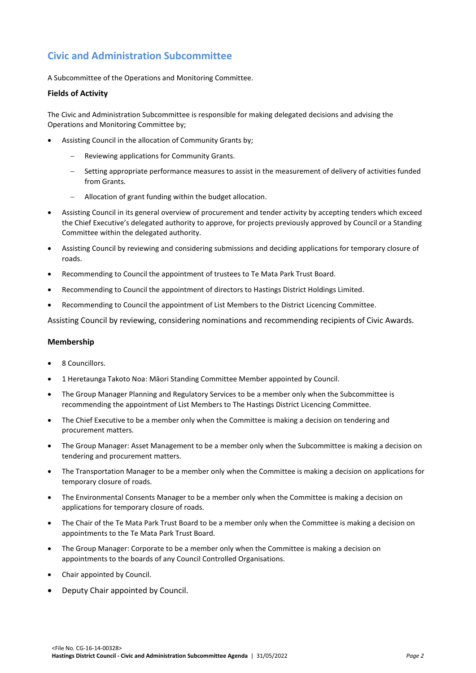# **Civic and Administration Subcommittee**

A Subcommittee of the Operations and Monitoring Committee.

#### **Fields of Activity**

The Civic and Administration Subcommittee is responsible for making delegated decisions and advising the Operations and Monitoring Committee by;

- Assisting Council in the allocation of Community Grants by;
	- Reviewing applications for Community Grants.
	- Setting appropriate performance measures to assist in the measurement of delivery of activities funded from Grants.
	- Allocation of grant funding within the budget allocation.
- Assisting Council in its general overview of procurement and tender activity by accepting tenders which exceed the Chief Executive's delegated authority to approve, for projects previously approved by Council or a Standing Committee within the delegated authority.
- Assisting Council by reviewing and considering submissions and deciding applications for temporary closure of roads.
- Recommending to Council the appointment of trustees to Te Mata Park Trust Board.
- Recommending to Council the appointment of directors to Hastings District Holdings Limited.
- Recommending to Council the appointment of List Members to the District Licencing Committee.

Assisting Council by reviewing, considering nominations and recommending recipients of Civic Awards.

#### **Membership**

- 8 Councillors.
- 1 Heretaunga Takoto Noa: Māori Standing Committee Member appointed by Council.
- The Group Manager Planning and Regulatory Services to be a member only when the Subcommittee is recommending the appointment of List Members to The Hastings District Licencing Committee.
- The Chief Executive to be a member only when the Committee is making a decision on tendering and procurement matters.
- The Group Manager: Asset Management to be a member only when the Subcommittee is making a decision on tendering and procurement matters.
- The Transportation Manager to be a member only when the Committee is making a decision on applications for temporary closure of roads.
- The Environmental Consents Manager to be a member only when the Committee is making a decision on applications for temporary closure of roads.
- The Chair of the Te Mata Park Trust Board to be a member only when the Committee is making a decision on appointments to the Te Mata Park Trust Board.
- The Group Manager: Corporate to be a member only when the Committee is making a decision on appointments to the boards of any Council Controlled Organisations.
- Chair appointed by Council.
- Deputy Chair appointed by Council.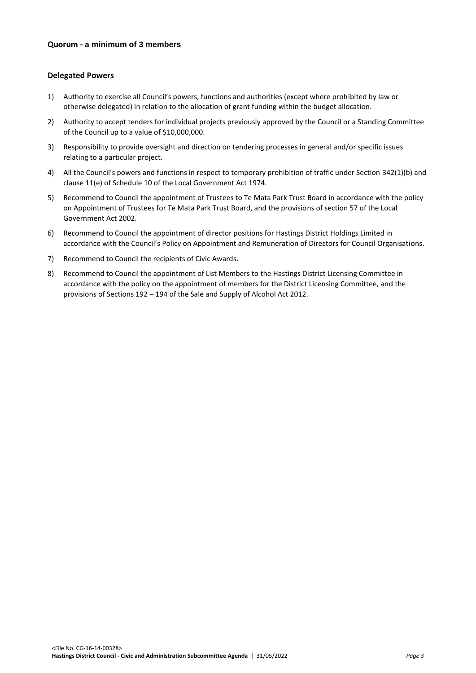#### **Delegated Powers**

- 1) Authority to exercise all Council's powers, functions and authorities (except where prohibited by law or otherwise delegated) in relation to the allocation of grant funding within the budget allocation.
- 2) Authority to accept tenders for individual projects previously approved by the Council or a Standing Committee of the Council up to a value of \$10,000,000.
- 3) Responsibility to provide oversight and direction on tendering processes in general and/or specific issues relating to a particular project.
- 4) All the Council's powers and functions in respect to temporary prohibition of traffic under Section 342(1)(b) and clause 11(e) of Schedule 10 of the Local Government Act 1974.
- 5) Recommend to Council the appointment of Trustees to Te Mata Park Trust Board in accordance with the policy on Appointment of Trustees for Te Mata Park Trust Board, and the provisions of section 57 of the Local Government Act 2002.
- 6) Recommend to Council the appointment of director positions for Hastings District Holdings Limited in accordance with the Council's Policy on Appointment and Remuneration of Directors for Council Organisations.
- 7) Recommend to Council the recipients of Civic Awards.
- 8) Recommend to Council the appointment of List Members to the Hastings District Licensing Committee in accordance with the policy on the appointment of members for the District Licensing Committee, and the provisions of Sections 192 – 194 of the Sale and Supply of Alcohol Act 2012.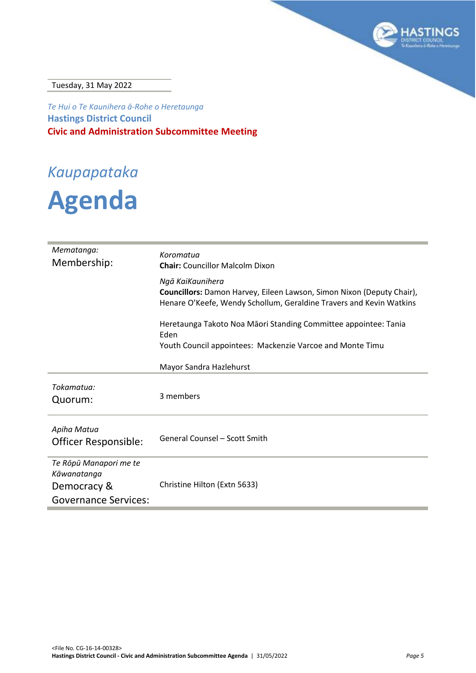

Tuesday, 31 May 2022

*Te Hui o Te Kaunihera ā-Rohe o Heretaunga* **Hastings District Council Civic and Administration Subcommittee Meeting**

# *Kaupapataka*

# **Agenda**

| Mematanga:<br>Membership:                                                           | Koromatua<br><b>Chair:</b> Councillor Malcolm Dixon                                                                                                              |
|-------------------------------------------------------------------------------------|------------------------------------------------------------------------------------------------------------------------------------------------------------------|
|                                                                                     | Ngā KaiKaunihera<br>Councillors: Damon Harvey, Eileen Lawson, Simon Nixon (Deputy Chair),<br>Henare O'Keefe, Wendy Schollum, Geraldine Travers and Kevin Watkins |
|                                                                                     | Heretaunga Takoto Noa Māori Standing Committee appointee: Tania<br>Eden                                                                                          |
|                                                                                     | Youth Council appointees: Mackenzie Varcoe and Monte Timu                                                                                                        |
|                                                                                     | Mayor Sandra Hazlehurst                                                                                                                                          |
| Tokamatua:<br>Quorum:                                                               | 3 members                                                                                                                                                        |
| Apiha Matua<br>Officer Responsible:                                                 | <b>General Counsel - Scott Smith</b>                                                                                                                             |
| Te Rōpū Manapori me te<br>Kāwanatanga<br>Democracy &<br><b>Governance Services:</b> | Christine Hilton (Extn 5633)                                                                                                                                     |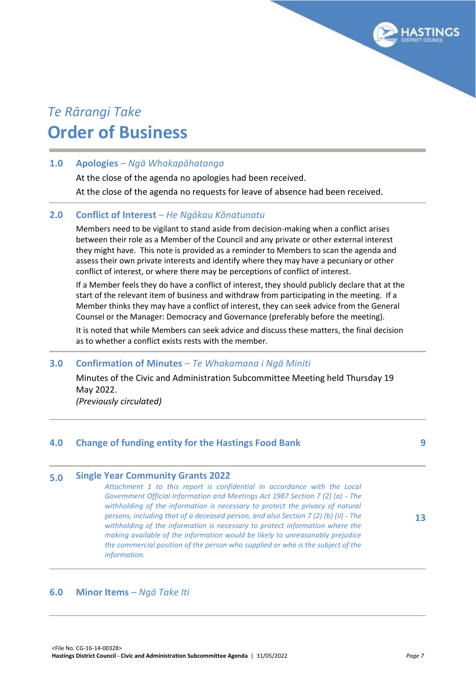# *Te Rārangi Take* **Order of Business**

# **1.0 Apologies** *– Ngā Whakapāhatanga*

At the close of the agenda no apologies had been received. At the close of the agenda no requests for leave of absence had been received.

# **2.0 Conflict of Interest** *– He Ngākau Kōnatunatu*

Members need to be vigilant to stand aside from decision-making when a conflict arises between their role as a Member of the Council and any private or other external interest they might have. This note is provided as a reminder to Members to scan the agenda and assess their own private interests and identify where they may have a pecuniary or other conflict of interest, or where there may be perceptions of conflict of interest.

If a Member feels they do have a conflict of interest, they should publicly declare that at the start of the relevant item of business and withdraw from participating in the meeting. If a Member thinks they may have a conflict of interest, they can seek advice from the General Counsel or the Manager: Democracy and Governance (preferably before the meeting).

It is noted that while Members can seek advice and discuss these matters, the final decision as to whether a conflict exists rests with the member.

# **3.0 Confirmation of Minutes** *– Te Whakamana i Ngā Miniti*

Minutes of the Civic and Administration Subcommittee Meeting held Thursday 19 May 2022.

*(Previously circulated)*

| 4.0 | <b>Change of funding entity for the Hastings Food Bank</b>                                                                                                                                                                                                                                                                                                                                                                                                                                                                                                                                                                                        |    |
|-----|---------------------------------------------------------------------------------------------------------------------------------------------------------------------------------------------------------------------------------------------------------------------------------------------------------------------------------------------------------------------------------------------------------------------------------------------------------------------------------------------------------------------------------------------------------------------------------------------------------------------------------------------------|----|
| 5.0 | <b>Single Year Community Grants 2022</b><br>Attachment 1 to this report is confidential in accordance with the Local<br>Government Official Information and Meetings Act 1987 Section 7 (2) (a) - The<br>withholding of the information is necessary to protect the privacy of natural<br>persons, including that of a deceased person, and also Section 7 (2) (b) (ii) - The<br>withholding of the information is necessary to protect information where the<br>making available of the information would be likely to unreasonably prejudice<br>the commercial position of the person who supplied or who is the subject of the<br>information. | 13 |

# **6.0 Minor Items** *– Ngā Take Iti*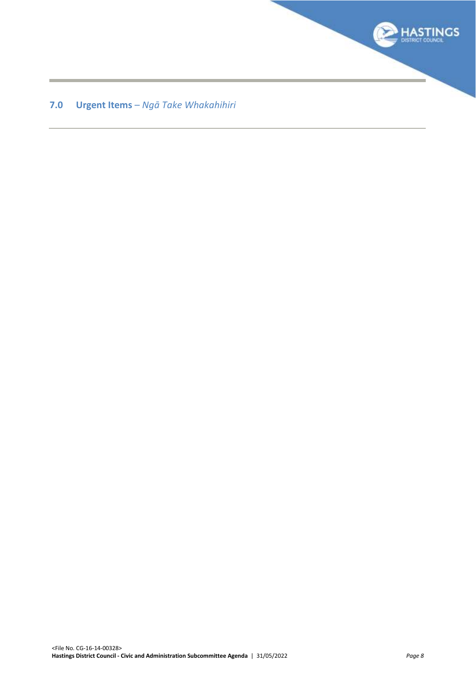

# **7.0 Urgent Items** *– Ngā Take Whakahihiri*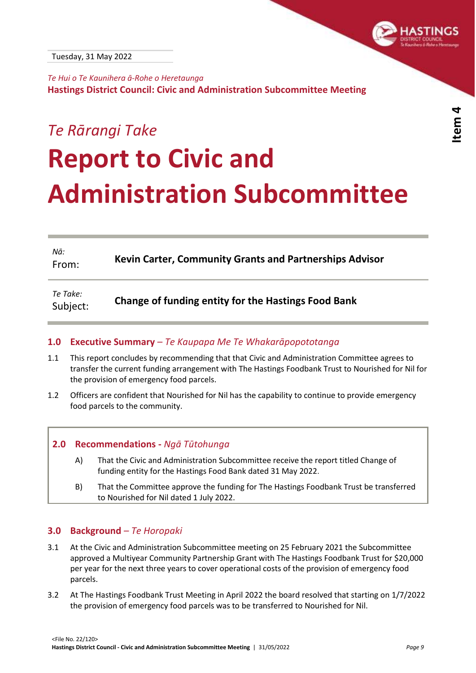<span id="page-8-0"></span>

*Te Hui o Te Kaunihera ā-Rohe o Heretaunga* **Hastings District Council: Civic and Administration Subcommittee Meeting**

# *Te Rārangi Take* **Report to Civic and Administration Subcommittee**

| Nā:<br>From:         | Kevin Carter, Community Grants and Partnerships Advisor    |
|----------------------|------------------------------------------------------------|
| Te Take:<br>Subject: | <b>Change of funding entity for the Hastings Food Bank</b> |

# **1.0 Executive Summary** *– Te Kaupapa Me Te Whakarāpopototanga*

- [1.1](//hdcfp1/data/Infocouncil/Templates/report_guidance.pdf) This report concludes by recommending that that Civic and Administration Committee agrees to transfer the current funding arrangement with The Hastings Foodbank Trust to Nourished for Nil for the provision of emergency food parcels.
- 1.2 Officers are confident that Nourished for Nil has the capability to continue to provide emergency food parcels to the community.

# **2.0 Recommendations -** *Ngā Tūtohunga*

- A) That the Civic and Administration Subcommittee receive the report titled Change of funding entity for the Hastings Food Bank dated 31 May 2022.
- B) That the Committee approve the funding for The Hastings Foodbank Trust be transferred to Nourished for Nil dated 1 July 2022.

# **3.0 Background** *– Te Horopaki*

- 3.1 At the Civic and Administration Subcommittee meeting on 25 February 2021 the Subcommittee approved a Multiyear Community Partnership Grant with The Hastings Foodbank Trust for \$20,000 per year for the next three years to cover operational costs of the provision of emergency food parcels.
- 3.2 At The Hastings Foodbank Trust Meeting in April 2022 the board resolved that starting on 1/7/2022 the provision of emergency food parcels was to be transferred to Nourished for Nil.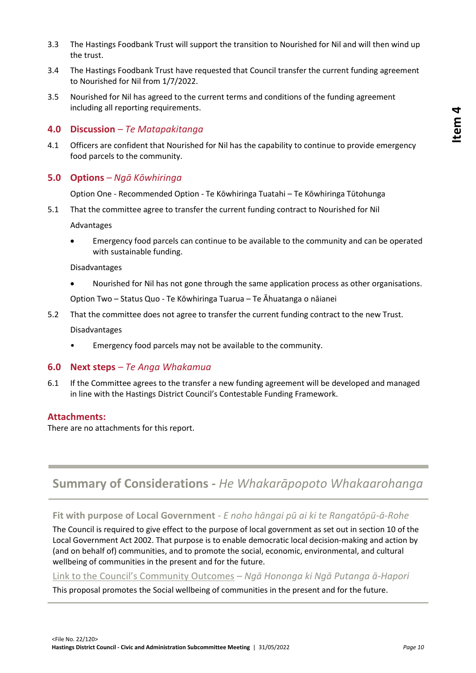- 3.3 The Hastings Foodbank Trust will support the transition to Nourished for Nil and will then wind up the trust.
- 3.4 The Hastings Foodbank Trust have requested that Council transfer the current funding agreement to Nourished for Nil from 1/7/2022.
- 3.5 Nourished for Nil has agreed to the current terms and conditions of the funding agreement including all reporting requirements.

### **4.0 Discussion** *– Te Matapakitanga*

4.1 Officers are confident that Nourished for Nil has the capability to continue to provide emergency food parcels to the community.

# **5.0 Options** *– Ngā Kōwhiringa*

Option One - Recommended Option - Te Kōwhiringa Tuatahi – Te Kōwhiringa Tūtohunga

5.1 That the committee agree to transfer the current funding contract to Nourished for Nil

Advantages

 Emergency food parcels can continue to be available to the community and can be operated with sustainable funding.

Disadvantages

Nourished for Nil has not gone through the same application process as other organisations.

Option Two – Status Quo - Te Kōwhiringa Tuarua – Te Āhuatanga o nāianei

- 5.2 That the committee does not agree to transfer the current funding contract to the new Trust. Disadvantages
	- Emergency food parcels may not be available to the community.

#### **6.0 Next steps** *– Te Anga Whakamua*

6.1 If the Committee agrees to the transfer a new funding agreement will be developed and managed in line with the Hastings District Council's Contestable Funding Framework.

#### **Attachments:**

There are no attachments for this report.

# **Summary of Considerations** *- He Whakarāpopoto Whakaarohanga*

**Fit with purpose of Local Government** *- E noho hāngai pū ai ki te Rangatōpū-ā-Rohe*

The Council is required to give effect to the purpose of local government as set out in section 10 of the Local Government Act 2002. That purpose is to enable democratic local decision-making and action by (and on behalf of) communities, and to promote the social, economic, environmental, and cultural wellbeing of communities in the present and for the future.

# [Link to the Council's Community Outcomes](//hdcfp1/data/Infocouncil/Templates/councils-community-outcomes.pdf) *– Ngā Hononga ki Ngā Putanga ā-Hapori*

This proposal promotes the Social wellbeing of communities in the present and for the future.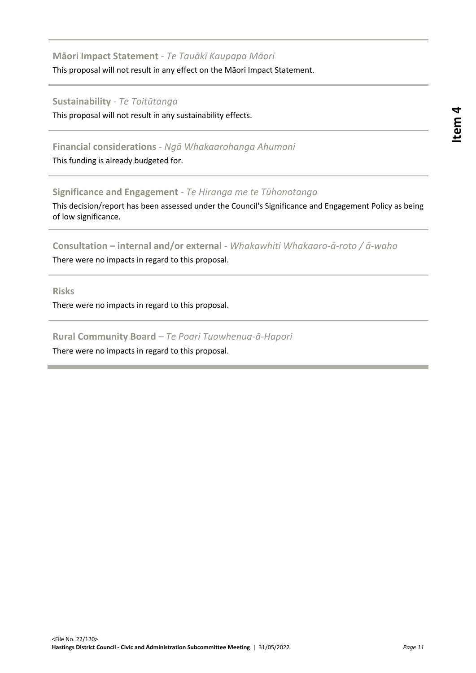# **Item 4**

# **Māori Impact Statement** *- Te Tauākī Kaupapa Māori*

This proposal will not result in any effect on the Māori Impact Statement.

# **Sustainability** *- Te Toitūtanga*

This proposal will not result in any sustainability effects.

# **Financial considerations** *- Ngā Whakaarohanga Ahumoni*

This funding is already budgeted for.

# **Significance and Engagement** *- Te Hiranga me te Tūhonotanga*

This decision/report has been assessed under the Council's Significance and Engagement Policy as being of low significance.

# **Consultation – internal and/or external** *- Whakawhiti Whakaaro-ā-roto / ā-waho*

There were no impacts in regard to this proposal.

**Risks**

There were no impacts in regard to this proposal.

# **Rural Community Board** *– Te Poari Tuawhenua-ā-Hapori*

There were no impacts in regard to this proposal.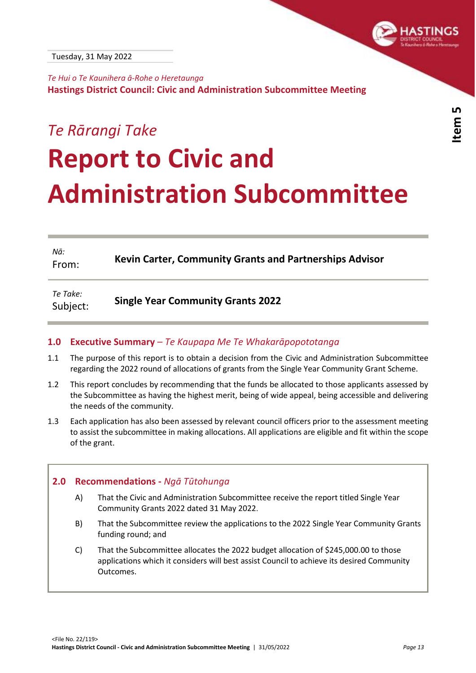<span id="page-12-0"></span>

*Te Hui o Te Kaunihera ā-Rohe o Heretaunga* **Hastings District Council: Civic and Administration Subcommittee Meeting**

# *Te Rārangi Take* **Report to Civic and Administration Subcommittee**

| Nā:<br>From:         | <b>Kevin Carter, Community Grants and Partnerships Advisor</b> |
|----------------------|----------------------------------------------------------------|
| Te Take:<br>Subject: | <b>Single Year Community Grants 2022</b>                       |

# **1.0 Executive Summary** *– Te Kaupapa Me Te Whakarāpopototanga*

- [1.1](//hdcfp1/data/Infocouncil/Templates/report_guidance.pdf) The purpose of this report is to obtain a decision from the Civic and Administration Subcommittee regarding the 2022 round of allocations of grants from the Single Year Community Grant Scheme.
- 1.2 This report concludes by recommending that the funds be allocated to those applicants assessed by the Subcommittee as having the highest merit, being of wide appeal, being accessible and delivering the needs of the community.
- 1.3 Each application has also been assessed by relevant council officers prior to the assessment meeting to assist the subcommittee in making allocations. All applications are eligible and fit within the scope of the grant.

# **2.0 Recommendations -** *Ngā Tūtohunga*

- A) That the Civic and Administration Subcommittee receive the report titled Single Year Community Grants 2022 dated 31 May 2022.
- B) That the Subcommittee review the applications to the 2022 Single Year Community Grants funding round; and
- C) That the Subcommittee allocates the 2022 budget allocation of \$245,000.00 to those applications which it considers will best assist Council to achieve its desired Community Outcomes.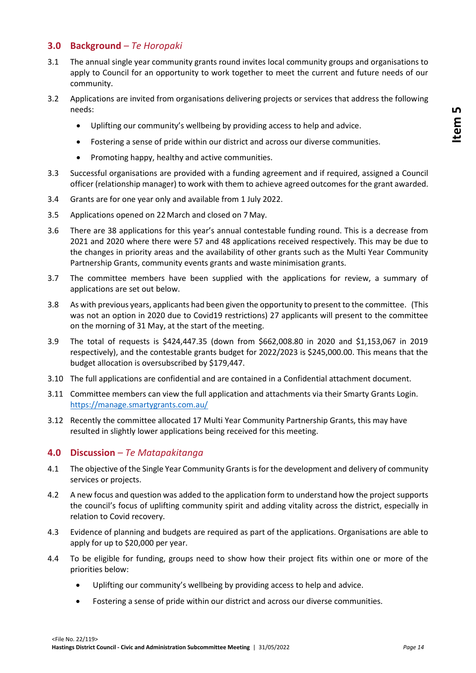# **3.0 Background** *– Te Horopaki*

- 3.1 The annual single year community grants round invites local community groups and organisations to apply to Council for an opportunity to work together to meet the current and future needs of our community.
- 3.2 Applications are invited from organisations delivering projects or services that address the following needs:
	- Uplifting our community's wellbeing by providing access to help and advice.
	- Fostering a sense of pride within our district and across our diverse communities.
	- Promoting happy, healthy and active communities.
- 3.3 Successful organisations are provided with a funding agreement and if required, assigned a Council officer (relationship manager) to work with them to achieve agreed outcomes for the grant awarded.
- 3.4 Grants are for one year only and available from 1 July 2022.
- 3.5 Applications opened on 22March and closed on 7 May.
- 3.6 There are 38 applications for this year's annual contestable funding round. This is a decrease from 2021 and 2020 where there were 57 and 48 applications received respectively. This may be due to the changes in priority areas and the availability of other grants such as the Multi Year Community Partnership Grants, community events grants and waste minimisation grants.
- 3.7 The committee members have been supplied with the applications for review, a summary of applications are set out below.
- 3.8 As with previous years, applicants had been given the opportunity to present to the committee. (This was not an option in 2020 due to Covid19 restrictions) 27 applicants will present to the committee on the morning of 31 May, at the start of the meeting.
- 3.9 The total of requests is \$424,447.35 (down from \$662,008.80 in 2020 and \$1,153,067 in 2019 respectively), and the contestable grants budget for 2022/2023 is \$245,000.00. This means that the budget allocation is oversubscribed by \$179,447.
- 3.10 The full applications are confidential and are contained in a Confidential attachment document.
- 3.11 Committee members can view the full application and attachments via their Smarty Grants Login. <https://manage.smartygrants.com.au/>
- 3.12 Recently the committee allocated 17 Multi Year Community Partnership Grants, this may have resulted in slightly lower applications being received for this meeting.

#### **4.0 Discussion** *– Te Matapakitanga*

- 4.1 The objective of the Single Year Community Grants is for the development and delivery of community services or projects.
- 4.2 A new focus and question was added to the application form to understand how the project supports the council's focus of uplifting community spirit and adding vitality across the district, especially in relation to Covid recovery.
- 4.3 Evidence of planning and budgets are required as part of the applications. Organisations are able to apply for up to \$20,000 per year.
- 4.4 To be eligible for funding, groups need to show how their project fits within one or more of the priorities below:
	- Uplifting our community's wellbeing by providing access to help and advice.
	- Fostering a sense of pride within our district and across our diverse communities.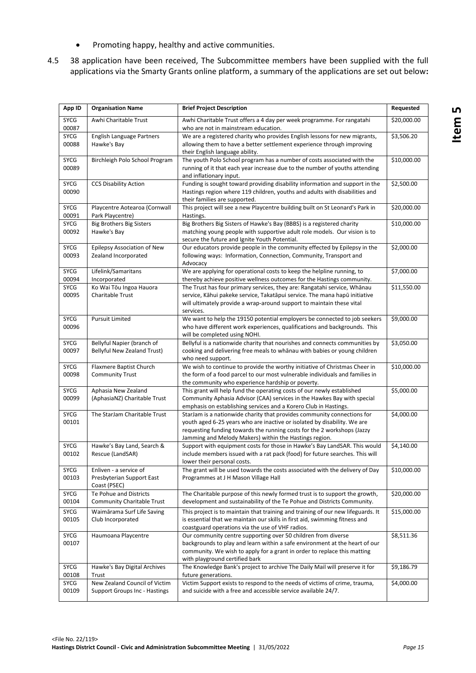- Promoting happy, healthy and active communities.
- 4.5 38 application have been received, The Subcommittee members have been supplied with the full applications via the Smarty Grants online platform, a summary of the applications are set out below**:**

| App ID               | <b>Organisation Name</b>                                              | <b>Brief Project Description</b>                                                                                                                                                                                                                                                         | Requested   |
|----------------------|-----------------------------------------------------------------------|------------------------------------------------------------------------------------------------------------------------------------------------------------------------------------------------------------------------------------------------------------------------------------------|-------------|
| <b>SYCG</b><br>00087 | Awhi Charitable Trust                                                 | Awhi Charitable Trust offers a 4 day per week programme. For rangatahi<br>who are not in mainstream education.                                                                                                                                                                           | \$20,000.00 |
| SYCG<br>00088        | English Language Partners<br>Hawke's Bay                              | We are a registered charity who provides English lessons for new migrants,<br>allowing them to have a better settlement experience through improving<br>their English language ability.                                                                                                  | \$3,506.20  |
| <b>SYCG</b><br>00089 | Birchleigh Polo School Program                                        | The youth Polo School program has a number of costs associated with the<br>running of it that each year increase due to the number of youths attending<br>and inflationary input.                                                                                                        | \$10,000.00 |
| SYCG<br>00090        | <b>CCS Disability Action</b>                                          | Funding is sought toward providing disability information and support in the<br>Hastings region where 119 children, youths and adults with disabilities and<br>their families are supported.                                                                                             | \$2,500.00  |
| <b>SYCG</b><br>00091 | Playcentre Aotearoa (Cornwall<br>Park Playcentre)                     | This project will see a new Playcentre building built on St Leonard's Park in<br>Hastings.                                                                                                                                                                                               | \$20,000.00 |
| SYCG<br>00092        | <b>Big Brothers Big Sisters</b><br>Hawke's Bay                        | Big Brothers Big Sisters of Hawke's Bay (BBBS) is a registered charity<br>matching young people with supportive adult role models. Our vision is to<br>secure the future and Ignite Youth Potential.                                                                                     | \$10,000.00 |
| <b>SYCG</b><br>00093 | Epilepsy Association of New<br>Zealand Incorporated                   | Our educators provide people in the community effected by Epilepsy in the<br>following ways: Information, Connection, Community, Transport and<br>Advocacy                                                                                                                               | \$2,000.00  |
| <b>SYCG</b><br>00094 | Lifelink/Samaritans<br>Incorporated                                   | We are applying for operational costs to keep the helpline running, to<br>thereby achieve positive wellness outcomes for the Hastings community.                                                                                                                                         | \$7,000.00  |
| SYCG<br>00095        | Ko Wai Tōu Ingoa Hauora<br>Charitable Trust                           | The Trust has four primary services, they are: Rangatahi service, Whānau<br>service, Kāhui pakeke service, Takatāpui service. The mana hapū initiative<br>will ultimately provide a wrap-around support to maintain these vital<br>services.                                             | \$11,550.00 |
| <b>SYCG</b><br>00096 | <b>Pursuit Limited</b>                                                | We want to help the 19150 potential employers be connected to job seekers<br>who have different work experiences, qualifications and backgrounds. This<br>will be completed using NOHI.                                                                                                  | \$9,000.00  |
| <b>SYCG</b><br>00097 | Bellyful Napier (branch of<br><b>Bellyful New Zealand Trust)</b>      | Bellyful is a nationwide charity that nourishes and connects communities by<br>cooking and delivering free meals to whanau with babies or young children<br>who need support.                                                                                                            | \$3,050.00  |
| <b>SYCG</b><br>00098 | Flaxmere Baptist Church<br><b>Community Trust</b>                     | We wish to continue to provide the worthy initiative of Christmas Cheer in<br>the form of a food parcel to our most vulnerable individuals and families in<br>the community who experience hardship or poverty.                                                                          | \$10,000.00 |
| SYCG<br>00099        | Aphasia New Zealand<br>(AphasiaNZ) Charitable Trust                   | This grant will help fund the operating costs of our newly established<br>Community Aphasia Advisor (CAA) services in the Hawkes Bay with special<br>emphasis on establishing services and a Korero Club in Hastings.                                                                    | \$5,000.00  |
| <b>SYCG</b><br>00101 | The StarJam Charitable Trust                                          | StarJam is a nationwide charity that provides community connections for<br>youth aged 6-25 years who are inactive or isolated by disability. We are<br>requesting funding towards the running costs for the 2 workshops (Jazzy<br>Jamming and Melody Makers) within the Hastings region. | \$4,000.00  |
| <b>SYCG</b><br>00102 | Hawke's Bay Land, Search &<br>Rescue (LandSAR)                        | Support with equipment costs for those in Hawke's Bay LandSAR. This would<br>include members issued with a rat pack (food) for future searches. This will<br>lower their personal costs.                                                                                                 | \$4,140.00  |
| SYCG<br>00103        | Enliven - a service of<br>Presbyterian Support East<br>Coast (PSEC)   | The grant will be used towards the costs associated with the delivery of Day<br>Programmes at J H Mason Village Hall                                                                                                                                                                     | \$10,000.00 |
| SYCG<br>00104        | Te Pohue and Districts<br><b>Community Charitable Trust</b>           | The Charitable purpose of this newly formed trust is to support the growth,<br>development and sustainability of the Te Pohue and Districts Community.                                                                                                                                   | \$20,000.00 |
| SYCG<br>00105        | Waimārama Surf Life Saving<br>Club Incorporated                       | This project is to maintain that training and training of our new lifeguards. It<br>is essential that we maintain our skills in first aid, swimming fitness and<br>coastguard operations via the use of VHF radios.                                                                      | \$15,000.00 |
| SYCG<br>00107        | Haumoana Playcentre                                                   | Our community centre supporting over 50 children from diverse<br>backgrounds to play and learn within a safe environment at the heart of our<br>community. We wish to apply for a grant in order to replace this matting<br>with playground certified bark                               | \$8,511.36  |
| <b>SYCG</b><br>00108 | Hawke's Bay Digital Archives<br>Trust                                 | The Knowledge Bank's project to archive The Daily Mail will preserve it for<br>future generations.                                                                                                                                                                                       | \$9,186.79  |
| SYCG<br>00109        | New Zealand Council of Victim<br><b>Support Groups Inc - Hastings</b> | Victim Support exists to respond to the needs of victims of crime, trauma,<br>and suicide with a free and accessible service available 24/7.                                                                                                                                             | \$4,000.00  |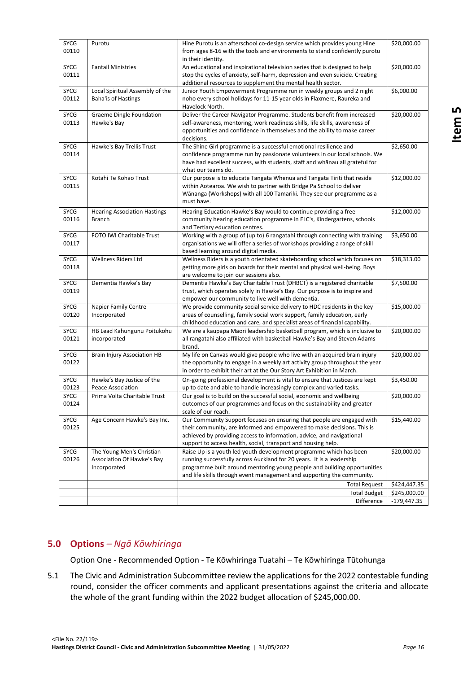| SYCG<br>00110        | Purotu                                                                  | Hine Purotu is an afterschool co-design service which provides young Hine<br>from ages 8-16 with the tools and environments to stand confidently purotu<br>in their identity.                                                                                                                     | \$20,000.00             |
|----------------------|-------------------------------------------------------------------------|---------------------------------------------------------------------------------------------------------------------------------------------------------------------------------------------------------------------------------------------------------------------------------------------------|-------------------------|
| SYCG<br>00111        | <b>Fantail Ministries</b>                                               | An educational and inspirational television series that is designed to help<br>stop the cycles of anxiety, self-harm, depression and even suicide. Creating<br>additional resources to supplement the mental health sector.                                                                       | \$20,000.00             |
| <b>SYCG</b><br>00112 | Local Spiritual Assembly of the<br>Baha'is of Hastings                  | Junior Youth Empowerment Programme run in weekly groups and 2 night<br>noho every school holidays for 11-15 year olds in Flaxmere, Raureka and<br>Havelock North.                                                                                                                                 | \$6,000.00              |
| <b>SYCG</b><br>00113 | Graeme Dingle Foundation<br>Hawke's Bay                                 | Deliver the Career Navigator Programme. Students benefit from increased<br>self-awareness, mentoring, work readiness skills, life skills, awareness of<br>opportunities and confidence in themselves and the ability to make career<br>decisions.                                                 | \$20,000.00             |
| SYCG<br>00114        | Hawke's Bay Trellis Trust                                               | The Shine Girl programme is a successful emotional resilience and<br>confidence programme run by passionate volunteers in our local schools. We<br>have had excellent success, with students, staff and whanau all grateful for<br>what our teams do.                                             | \$2,650.00              |
| <b>SYCG</b><br>00115 | Kotahi Te Kohao Trust                                                   | Our purpose is to educate Tangata Whenua and Tangata Tiriti that reside<br>within Aotearoa. We wish to partner with Bridge Pa School to deliver<br>Wānanga (Workshops) with all 100 Tamariki. They see our programme as a<br>must have.                                                           | \$12,000.00             |
| <b>SYCG</b><br>00116 | <b>Hearing Association Hastings</b><br><b>Branch</b>                    | Hearing Education Hawke's Bay would to continue providing a free<br>community hearing education programme in ELC's, Kindergartens, schools<br>and Tertiary education centres.                                                                                                                     | \$12,000.00             |
| SYCG<br>00117        | FOTO IWI Charitable Trust                                               | Working with a group of (up to) 6 rangatahi through connecting with training<br>organisations we will offer a series of workshops providing a range of skill<br>based learning around digital media.                                                                                              | \$3,650.00              |
| <b>SYCG</b><br>00118 | Wellness Riders Ltd                                                     | Wellness Riders is a youth orientated skateboarding school which focuses on<br>getting more girls on boards for their mental and physical well-being. Boys<br>are welcome to join our sessions also.                                                                                              | \$18,313.00             |
| <b>SYCG</b><br>00119 | Dementia Hawke's Bay                                                    | Dementia Hawke's Bay Charitable Trust (DHBCT) is a registered charitable<br>trust, which operates solely in Hawke's Bay. Our purpose is to inspire and<br>empower our community to live well with dementia.                                                                                       | \$7,500.00              |
| <b>SYCG</b><br>00120 | <b>Napier Family Centre</b><br>Incorporated                             | We provide community social service delivery to HDC residents in the key<br>areas of counselling, family social work support, family education, early<br>childhood education and care, and specialist areas of financial capability.                                                              | \$15,000.00             |
| <b>SYCG</b><br>00121 | HB Lead Kahungunu Poitukohu<br>incorporated                             | We are a kaupapa Māori leadership basketball program, which is inclusive to<br>all rangatahi also affiliated with basketball Hawke's Bay and Steven Adams<br>brand.                                                                                                                               | \$20,000.00             |
| <b>SYCG</b><br>00122 | <b>Brain Injury Association HB</b>                                      | My life on Canvas would give people who live with an acquired brain injury<br>the opportunity to engage in a weekly art activity group throughout the year<br>in order to exhibit their art at the Our Story Art Exhibition in March.                                                             | \$20,000.00             |
| <b>SYCG</b><br>00123 | Hawke's Bay Justice of the<br>Peace Association                         | On-going professional development is vital to ensure that Justices are kept<br>up to date and able to handle increasingly complex and varied tasks.                                                                                                                                               | \$3,450.00              |
| SYCG<br>00124        | Prima Volta Charitable Trust                                            | Our goal is to build on the successful social, economic and wellbeing<br>outcomes of our programmes and focus on the sustainability and greater<br>scale of our reach.                                                                                                                            | $\overline{$}20,000.00$ |
| SYCG<br>00125        | Age Concern Hawke's Bay Inc.                                            | Our Community Support focuses on ensuring that people are engaged with<br>their community, are informed and empowered to make decisions. This is<br>achieved by providing access to information, advice, and navigational<br>support to access health, social, transport and housing help.        | \$15,440.00             |
| SYCG<br>00126        | The Young Men's Christian<br>Association Of Hawke's Bay<br>Incorporated | Raise Up is a youth led youth development programme which has been<br>running successfully across Auckland for 20 years. It is a leadership<br>programme built around mentoring young people and building opportunities<br>and life skills through event management and supporting the community. | \$20,000.00             |
|                      |                                                                         | <b>Total Request</b>                                                                                                                                                                                                                                                                              | \$424,447.35            |
|                      |                                                                         | <b>Total Budget</b>                                                                                                                                                                                                                                                                               | \$245,000.00            |
|                      |                                                                         | Difference                                                                                                                                                                                                                                                                                        | $-179,447.35$           |

# **5.0 Options** *– Ngā Kōwhiringa*

Option One - Recommended Option - Te Kōwhiringa Tuatahi – Te Kōwhiringa Tūtohunga

5.1 The Civic and Administration Subcommittee review the applications for the 2022 contestable funding round, consider the officer comments and applicant presentations against the criteria and allocate the whole of the grant funding within the 2022 budget allocation of \$245,000.00.

**Item 5**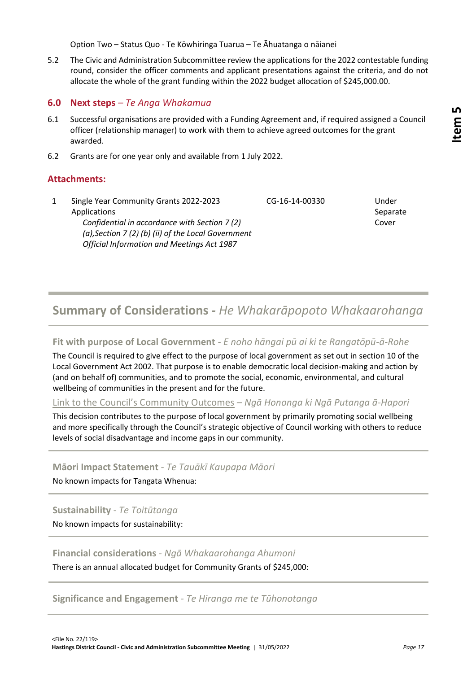Option Two – Status Quo - Te Kōwhiringa Tuarua – Te Āhuatanga o nāianei

5.2 The Civic and Administration Subcommittee review the applications for the 2022 contestable funding round, consider the officer comments and applicant presentations against the criteria, and do not allocate the whole of the grant funding within the 2022 budget allocation of \$245,000.00.

# **6.0 Next steps** *– Te Anga Whakamua*

- 6.1 Successful organisations are provided with a Funding Agreement and, if required assigned a Council officer (relationship manager) to work with them to achieve agreed outcomes for the grant awarded.
- 6.2 Grants are for one year only and available from 1 July 2022.

# **Attachments:**

1 Single Year Community Grants 2022-2023 Applications *Confidential in accordance with Section 7 (2) (a),Section 7 (2) (b) (ii) of the Local Government Official Information and Meetings Act 1987* CG-16-14-00330 Under Separate Cover

# **Summary of Considerations** *- He Whakarāpopoto Whakaarohanga*

# **Fit with purpose of Local Government** *- E noho hāngai pū ai ki te Rangatōpū-ā-Rohe*

The Council is required to give effect to the purpose of local government as set out in section 10 of the Local Government Act 2002. That purpose is to enable democratic local decision-making and action by (and on behalf of) communities, and to promote the social, economic, environmental, and cultural wellbeing of communities in the present and for the future.

[Link to the Council's Community Outcomes](//hdcfp1/data/Infocouncil/Templates/councils-community-outcomes.pdf) *– Ngā Hononga ki Ngā Putanga ā-Hapori*

This decision contributes to the purpose of local government by primarily promoting social wellbeing and more specifically through the Council's strategic objective of Council working with others to reduce levels of social disadvantage and income gaps in our community.

# **Māori Impact Statement** *- Te Tauākī Kaupapa Māori*

No known impacts for Tangata Whenua:

# **Sustainability** *- Te Toitūtanga*

No known impacts for sustainability:

# **Financial considerations** *- Ngā Whakaarohanga Ahumoni*

There is an annual allocated budget for Community Grants of \$245,000:

**Significance and Engagement** *- Te Hiranga me te Tūhonotanga*